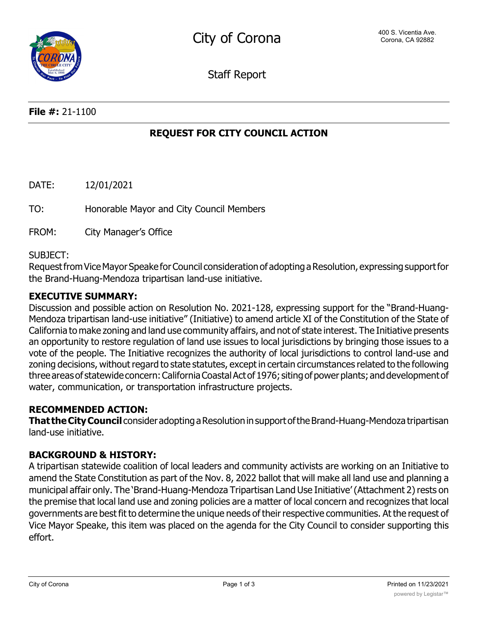Staff Report

# **REQUEST FOR CITY COUNCIL ACTION**

DATE: 12/01/2021 TO: Honorable Mayor and City Council Members

FROM: City Manager's Office

### SUBJECT:

Request from Vice Mayor Speake for Council consideration of adopting a Resolution, expressing support for the Brand-Huang-Mendoza tripartisan land-use initiative.

### **EXECUTIVE SUMMARY:**

Discussion and possible action on Resolution No. 2021-128, expressing support for the "Brand-Huang-Mendoza tripartisan land-use initiative" (Initiative) to amend article XI of the Constitution of the State of California to make zoning and land use community affairs, and not of state interest. The Initiative presents an opportunity to restore regulation of land use issues to local jurisdictions by bringing those issues to a vote of the people. The Initiative recognizes the authority of local jurisdictions to control land-use and zoning decisions, without regard to state statutes, except in certain circumstances related to the following three areas of statewide concern: California Coastal Act of 1976; siting of power plants; and development of water, communication, or transportation infrastructure projects.

### **RECOMMENDED ACTION:**

**That the City Council** consider adopting a Resolution in support of the Brand-Huang-Mendoza tripartisan land-use initiative.

### **BACKGROUND & HISTORY:**

A tripartisan statewide coalition of local leaders and community activists are working on an Initiative to amend the State Constitution as part of the Nov. 8, 2022 ballot that will make all land use and planning a municipal affair only. The 'Brand-Huang-Mendoza Tripartisan Land Use Initiative'(Attachment 2)rests on the premise that local land use and zoning policies are a matter of local concern and recognizes that local governments are best fit to determine the unique needs of their respective communities. At the request of Vice Mayor Speake, this item was placed on the agenda for the City Council to consider supporting this effort.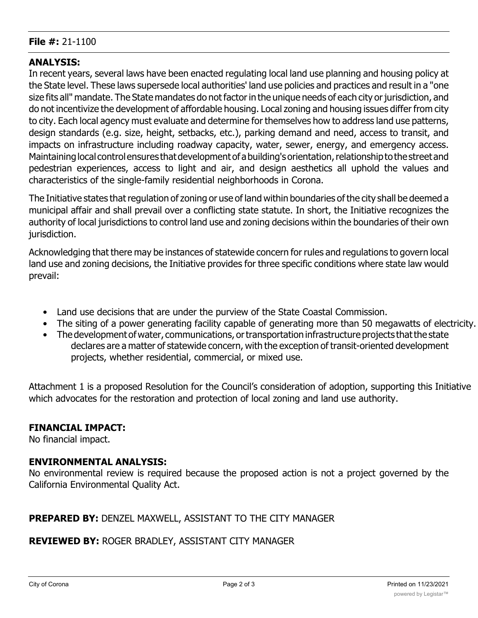#### **File #:** 21-1100

### **ANALYSIS:**

In recent years, several laws have been enacted regulating local land use planning and housing policy at the State level. These laws supersede local authorities' land use policies and practices and result in a "one size fits all" mandate. The State mandates do not factor in the unique needs of each city or jurisdiction, and do not incentivize the development of affordable housing. Local zoning and housing issues differ from city to city. Each local agency must evaluate and determine for themselves how to address land use patterns, design standards (e.g. size, height, setbacks, etc.), parking demand and need, access to transit, and impacts on infrastructure including roadway capacity, water, sewer, energy, and emergency access. Maintaining local control ensures that development of a building's orientation, relationship to the street and pedestrian experiences, access to light and air, and design aesthetics all uphold the values and characteristics of the single-family residential neighborhoods in Corona.

The Initiative states that regulation of zoning or use of land within boundaries of the city shall be deemed a municipal affair and shall prevail over a conflicting state statute. In short, the Initiative recognizes the authority of local jurisdictions to control land use and zoning decisions within the boundaries of their own jurisdiction.

Acknowledging that there may be instances of statewide concern for rules and regulations to govern local land use and zoning decisions, the Initiative provides for three specific conditions where state law would prevail:

- Land use decisions that are under the purview of the State Coastal Commission.
- The siting of a power generating facility capable of generating more than 50 megawatts of electricity.
- The development of water, communications, or transportation infrastructure projects that the state declares are a matter of statewide concern, with the exception of transit-oriented development projects, whether residential, commercial, or mixed use.

Attachment 1 is a proposed Resolution for the Council's consideration of adoption, supporting this Initiative which advocates for the restoration and protection of local zoning and land use authority.

### **FINANCIAL IMPACT:**

No financial impact.

### **ENVIRONMENTAL ANALYSIS:**

No environmental review is required because the proposed action is not a project governed by the California Environmental Quality Act.

### **PREPARED BY:** DENZEL MAXWELL, ASSISTANT TO THE CITY MANAGER

### **REVIEWED BY:** ROGER BRADLEY, ASSISTANT CITY MANAGER